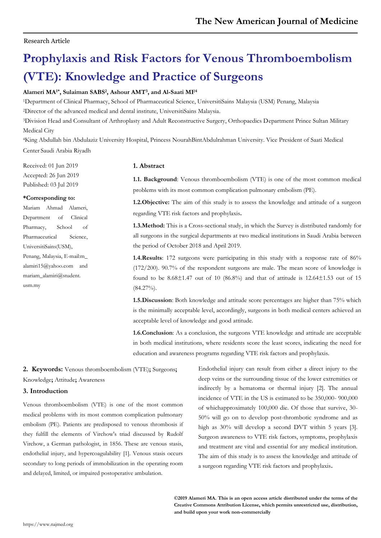# Research Article

# **Prophylaxis and Risk Factors for Venous Thromboembolism (VTE): Knowledge and Practice of Surgeons**

# **Alameri MA1\*, Sulaiman SABS<sup>2</sup> , Ashour AMT<sup>3</sup> , and Al-Saati MF<sup>4</sup>**

<sup>1</sup>Department of Clinical Pharmacy, School of Pharmaceutical Science, UniversitiSains Malaysia (USM) Penang, Malaysia

<sup>2</sup>Director of the advanced medical and dental institute, UniversitiSains Malaysia.

<sup>3</sup>Division Head and Consultant of Arthroplasty and Adult Reconstructive Surgery, Orthopaedics Department Prince Sultan Military Medical City

<sup>4</sup>King Abdullah bin Abdulaziz University Hospital, Princess NourahBintAbdulrahman University. Vice President of Saati Medical Center Saudi Arabia Riyadh

Received: 01 Jun 2019 Accepted: 26 Jun 2019 Published: 03 Jul 2019

## **\*Corresponding to:**

Mariam Ahmad Alameri, Department of Clinical Pharmacy, School of Pharmaceutical Science UniversitiSains(USM), Penang, Malaysia, E-mail:m\_ alamiri15@yahoo.com and mariam\_alamiri@student. usm.my

# **1. Abstract**

**1.1. Background**: Venous thromboembolism (VTE) is one of the most common medical problems with its most common complication pulmonary embolism (PE).

**1.2.Objective:** The aim of this study is to assess the knowledge and attitude of a surgeon regarding VTE risk factors and prophylaxis**.**

**1.3.Method:** This is a Cross-sectional study, in which the Survey is distributed randomly for all surgeons in the surgical departments at two medical institutions in Saudi Arabia between the period of October 2018 and April 2019.

**1.4.Results**: 172 surgeons were participating in this study with a response rate of 86% (172/200). 90.7% of the respondent surgeons are male. The mean score of knowledge is found to be  $8.68\pm1.47$  out of 10 (86.8%) and that of attitude is  $12.64\pm1.53$  out of 15  $(84.27\%)$ .

**1.5.Discussion**: Both knowledge and attitude score percentages are higher than 75% which is the minimally acceptable level, accordingly, surgeons in both medical centers achieved an acceptable level of knowledge and good attitude.

**1.6.Conclusion**: As a conclusion, the surgeons VTE knowledge and attitude are acceptable in both medical institutions, where residents score the least scores, indicating the need for education and awareness programs regarding VTE risk factors and prophylaxis.

# **2. Keywords:** Venous thromboembolism (VTE)**;** Surgeons**;**

Knowledge**;** Attitude**;** Awareness

# **3. Introduction**

Venous thromboembolism (VTE) is one of the most common medical problems with its most common complication pulmonary embolism (PE). Patients are predisposed to venous thrombosis if they fulfill the elements of Virchow's triad discussed by Rudolf Virchow, a German pathologist, in 1856. These are venous stasis, endothelial injury, and hypercoagulability [1]. Venous stasis occurs secondary to long periods of immobilization in the operating room and delayed, limited, or impaired postoperative ambulation.

Endothelial injury can result from either a direct injury to the deep veins or the surrounding tissue of the lower extremities or indirectly by a hematoma or thermal injury [2]. The annual incidence of VTE in the US is estimated to be 350,000- 900,000 of whichapproximately 100,000 die. Of those that survive, 30- 50% will go on to develop post-thrombotic syndrome and as high as 30% will develop a second DVT within 5 years [3]. Surgeon awareness to VTE risk factors, symptoms, prophylaxis and treatment are vital and essential for any medical institution. The aim of this study is to assess the knowledge and attitude of a surgeon regarding VTE risk factors and prophylaxis**.**

**©2019 Alameri MA. This is an open access article distributed under the terms of the Creative Commons Attribution License, which permits unrestricted use, distribution, and build upon your work non-commercially**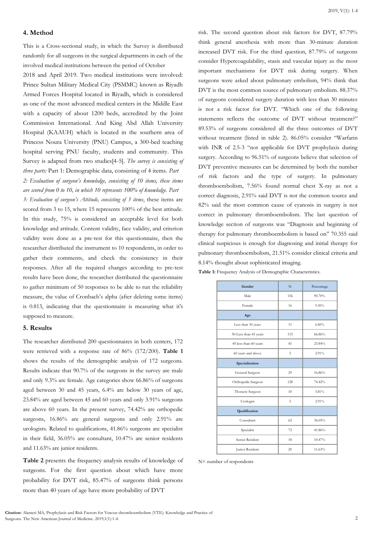#### 2019, V(1): 1-4

## **4. Method**

This is a Cross-sectional study, in which the Survey is distributed randomly for all surgeons in the surgical departments in each of the involved medical institutions between the period of October

2018 and April 2019. Two medical institutions were involved: Prince Sultan Military Medical City (PSMMC) known as Riyadh Armed Forces Hospital located in Riyadh, which is considered as one of the most advanced medical centers in the Middle East with a capacity of about 1200 beds, accredited by the Joint Commission International. And King Abd Allah University Hospital (KAAUH) which is located in the southern area of Princess Noura University (PNU) Campus, a 300-bed teaching hospital serving PNU faculty, students and community. This Survey is adapted from two studies[4-5]. *The survey is consisting of three parts:* Part 1: Demographic data, consisting of 4 items. *Part*

*2: Evaluation of surgeon's knowledge, consisting of 10 items, these items are scored from 0 to 10, in which 10 represents 100% of knowledge. Part*

*3: Evaluation of surgeon's Attitude, consisting of 3 items*, these items are scored from 3 to 15, where 15 represents 100% of the best attitude. In this study, 75% is considered an acceptable level for both knowledge and attitude. Content validity, face validity, and criterion validity were done as a pre-test for this questionnaire, then the researcher distributed the instrument to 10 respondents, in order to gather their comments, and check the consistency in their responses. After all the required changes according to pre-test results have been done, the researcher distributed the questionnaire to gather minimum of 50 responses to be able to run the reliability measure, the value of Cronbach's alpha (after deleting some items) is 0.813, indicating that the questionnaire is measuring what it's supposed to measure.

#### **5. Results**

The researcher distributed 200 questionnaires in both centers, 172 were retrieved with a response rate of 86% (172/200). **Table 1**  shows the results of the demographic analysis of 172 surgeons. Results indicate that 90.7% of the surgeons in the survey are male and only 9.3% are female. Age categories show 66.86% of surgeons aged between 30 and 45 years, 6.4% are below 30 years of age, 23.84% are aged between 45 and 60 years and only 3.91% surgeons are above 60 years. In the present survey, 74.42% are orthopedic surgeons, 16.86% are general surgeons and only 2.91% are urologists. Related to qualifications, 41.86% surgeons are specialist in their field, 36.05% are consultant, 10.47% are senior residents and 11.63% are junior residents.

**Table 2** presents the frequency analysis results of knowledge of surgeons. For the first question about which have more probability for DVT risk, 85.47% of surgeons think persons more than 40 years of age have more probability of DVT

risk. The second question about risk factors for DVT, 87.79% think general anesthesia with more than 30-minute duration increased DVT risk. For the third question, 87.79% of surgeons consider Hypercoagulability, stasis and vascular injury as the most important mechanisms for DVT risk during surgery. When surgeons were asked about pulmonary embolism, 94% think that DVT is the most common source of pulmonary embolism. 88.37% of surgeons considered surgery duration with less than 30 minutes is not a risk factor for DVT. "Which one of the following statements reflects the outcome of DVT without treatment?" 89.53% of surgeons considered all the three outcomes of DVT without treatment (listed in table 2). 86.05% consider "Warfarin with INR of 2.5-3 "not applicable for DVT prophylaxis during surgery. According to 96.51% of surgeons believe that selection of DVT preventive measures can be determined by both the number of risk factors and the type of surgery. In pulmonary thromboembolism, 7.56% found normal chest X-ray as not a correct diagnosis, 2.91% said DVT is not the common source and 82% said the most common cause of cyanosis in surgery is not correct in pulmonary thromboembolism. The last question of knowledge section of surgeons was "Diagnosis and beginning of therapy for pulmonary thromboembolism is based on" 70.355 said clinical suspicious is enough for diagnosing and initial therapy for pulmonary thromboembolism, 21.51% consider clinical criteria and 8.14% thought about sophisticated imaging.

**Table 1:** Frequency Analysis of Demographic Characteristics.

| Gender                | N   | Percentage |
|-----------------------|-----|------------|
| Male                  | 156 | 90.70%     |
| Female                | 16  | $9.30\%$   |
| Age                   |     |            |
| Less than 30 years    | 11  | 6.40%      |
| 30-Less than 45 years | 115 | 66.86%     |
| 45-less than 60 years | 41  | 23.84%     |
| 60 years and above    | 5   | 2.91%      |
| Specialization        |     |            |
| General Surgeon       | 29  | 16.86%     |
| Orthopedic Surgeon    | 128 | 74.42%     |
| Thoracic Surgeon      | 10  | 5.81%      |
| Urologist             | 5   | 2.91%      |
| Qualification         |     |            |
| Consultant            | 62  | 36.05%     |
| Specialist            | 72  | 41.86%     |
| Senior Resident       | 18  | 10.47%     |
| Junior Resident       | 20  | 11.63%     |

N= number of respondents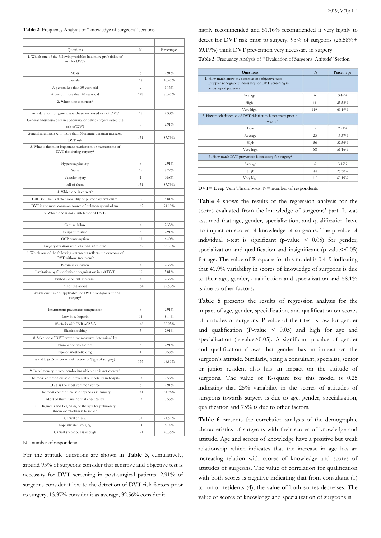| Questions                                                                                  | N              | Percentage |
|--------------------------------------------------------------------------------------------|----------------|------------|
| 1. Which one of the following variables had more probability of<br>risk for DVT?           |                |            |
| Males                                                                                      | 5              | 2.91%      |
| Females                                                                                    | 18             | 10.47%     |
| A person less than 30 years old                                                            | 2              | 1.16%      |
| A person more than 40 years old                                                            | 147            | 85.47%     |
| 2. Which one is correct?                                                                   |                |            |
| Any duration for general anesthesia increased risk of DVT                                  | 16             | 9.30%      |
| General anesthesia only in abdominal or pelvic surgery raised the                          |                |            |
| risk of DVT                                                                                | 5              | 2.91%      |
| General anesthesia with more than 30-minute duration increased<br>DVT risk                 | 151            | 87.79%     |
| 3. What is the most important mechanism or mechanisms of<br>DVT risk during surgery?       |                |            |
| Hypercoagulability                                                                         | 5              | 2.91%      |
| Stasis                                                                                     | 15             | 8.72%      |
| Vascular injury                                                                            | $\mathbf{1}$   | 0.58%      |
| All of them                                                                                | 151            | 87.79%     |
| 4. Which one is correct?                                                                   |                |            |
| Calf DVT had a 40% probability of pulmonary embolism.                                      | 10             | 5.81%      |
| DVT is the most common source of pulmonary embolism.                                       | 162            | 94.19%     |
| 5. Which one is not a risk factor of DVT?                                                  |                |            |
| Cardiac failure                                                                            | 4              | 2.33%      |
| Peripartum state                                                                           | 5              | 2.91%      |
| OCP consumption                                                                            | 11             | 6.40%      |
| Surgery duration with less than 30 minute                                                  | 152            | 88.37%     |
| 6. Which one of the following statements reflects the outcome of<br>DVT without treatment? |                |            |
| Proximal extension                                                                         | $\overline{4}$ | 2.33%      |
| Limitation by fibrinolysis or organization in calf DVT                                     | 10             | 5.81%      |
| Embolization risk increased                                                                | $\overline{4}$ | 2.33%      |
| All of the above                                                                           | 154            | 89.53%     |
| 7. Which one has not applicable for DVT prophylaxis during<br>surgery?                     |                |            |
| Intermittent pneumatic compression                                                         | 5              | 2.91%      |
| Low dose heparin                                                                           | 14             | 8.14%      |
| Warfarin with INR of 2.5-3                                                                 | 148            | 86.05%     |
| Elastic stocking                                                                           | 5              | 2.91%      |
| 8. Selection of DVT preventive measures determined by                                      |                |            |
| Number of risk factors                                                                     | 5              | 2.91%      |
| type of anesthetic drug                                                                    | $\,1\,$        | $0.58\%$   |
| a and b (a. Number of risk factors b. Type of surgery)                                     | 166            | 96.51%     |
| 9. In pulmonary thromboembolism which one is not correct?                                  |                |            |
| The most common cause of preventable mortality in hospital                                 | 13             | 7.56%      |
| DVT is the most common source                                                              | 5              | 2.91%      |
| The most common cause of cyanosis in surgery                                               | 141            | 81.98%     |
| Most of them have normal chest X-ray                                                       | 13             | 7.56%      |
| 10. Diagnosis and beginning of therapy for pulmonary<br>thromboembolism is based on        |                |            |
| Clinical criteria                                                                          | 37             | 21.51%     |
| Sophisticated imaging                                                                      | 14             | 8.14%      |
| Clinical suspicious is enough                                                              | 121            | 70.35%     |

N= number of respondents

For the attitude questions are shown in **Table 3**, cumulatively, around 95% of surgeons consider that sensitive and objective test is necessary for DVT screening in post-surgical patients. 2.91% of surgeons consider it low to the detection of DVT risk factors prior to surgery, 13.37% consider it as average, 32.56% consider it

highly recommended and 51.16% recommended it very highly to detect for DVT risk prior to surgery. 95% of surgeons (25.58%+ 69.19%) think DVT prevention very necessary in surgery.

Table 3: Frequency Analysis of " Evaluation of Surgeons' Attitude" Section.

| <b>Questions</b>                                                                                                                     | N   | Percentage |
|--------------------------------------------------------------------------------------------------------------------------------------|-----|------------|
| 1. How much know the sensitive and objective tests<br>(Duppler sonography) necessary for DVT Screening in<br>post-surgical patients? |     |            |
| Average                                                                                                                              | 6   | 3.49%      |
| High                                                                                                                                 | 44  | 25.58%     |
| Very high                                                                                                                            | 119 | 69.19%     |
| 2. How much detection of DVT risk factors is necessary prior to<br>surgery?                                                          |     |            |
| Low                                                                                                                                  | 5   | 2.91%      |
| Average                                                                                                                              | 23  | 13.37%     |
| High                                                                                                                                 | 56  | 32.56%     |
| Very high                                                                                                                            | 88  | 51.16%     |
| 3. How much DVT prevention is necessary for surgery?                                                                                 |     |            |
| Average                                                                                                                              | 6   | 3.49%      |
| High                                                                                                                                 | 44  | 25.58%     |
| Very high                                                                                                                            | 119 | 69.19%     |

DVT= Deep Vein Thrombosis, N= number of respondents

**Table 4** shows the results of the regression analysis for the scores evaluated from the knowledge of surgeons' part. It was assumed that age, gender, specialization, and qualification have no impact on scores of knowledge of surgeons. The p-value of individual t-test is significant (p-value  $\leq$  0.05) for gender, specialization and qualification and insignificant (p-value>0.05) for age. The value of R-square for this model is 0.419 indicating that 41.9% variability in scores of knowledge of surgeons is due to their age, gender, qualification and specialization and 58.1% is due to other factors.

**Table 5** presents the results of regression analysis for the impact of age, gender, specialization, and qualification on scores of attitudes of surgeons. P-value of the t-test is low for gender and qualification (P-value  $\leq$  0.05) and high for age and specialization (p-value>0.05). A significant p-value of gender and qualification shows that gender has an impact on the surgeon's attitude. Similarly, being a consultant, specialist, senior or junior resident also has an impact on the attitude of surgeons. The value of R-square for this model is 0.25 indicating that 25% variability in the scores of attitudes of surgeons towards surgery is due to age, gender, specialization, qualification and 75% is due to other factors.

**Table 6** presents the correlation analysis of the demographic characteristics of surgeons with their scores of knowledge and attitude. Age and scores of knowledge have a positive but weak relationship which indicates that the increase in age has an increasing relation with scores of knowledge and scores of attitudes of surgeons. The value of correlation for qualification with both scores is negative indicating that from consultant (1) to junior residents (4), the value of both scores decreases. The value of scores of knowledge and specialization of surgeons is